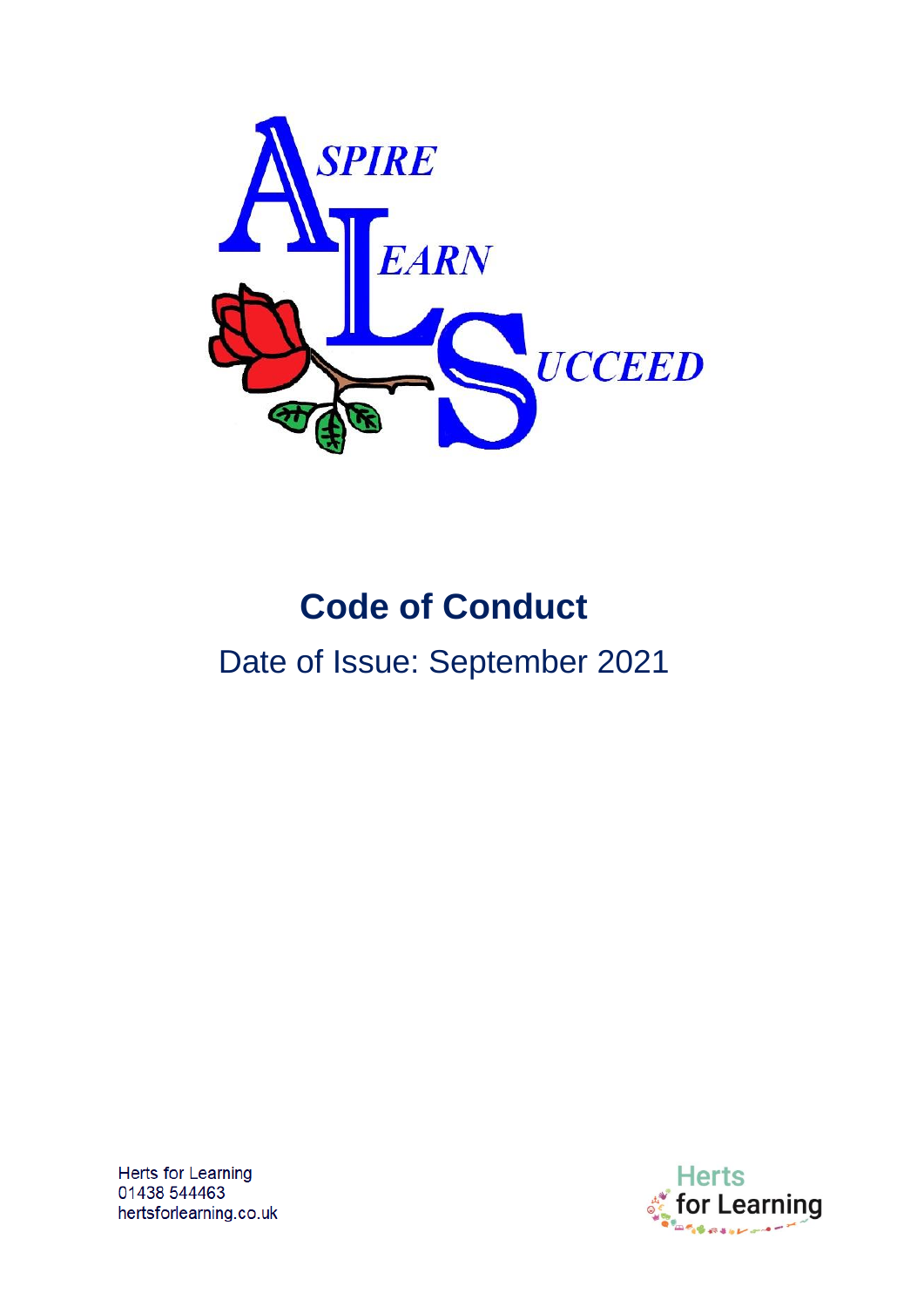

# **Code of Conduct** Date of Issue: September 2021

Herts for Learning 01438 544463 hertsforlearning.co.uk

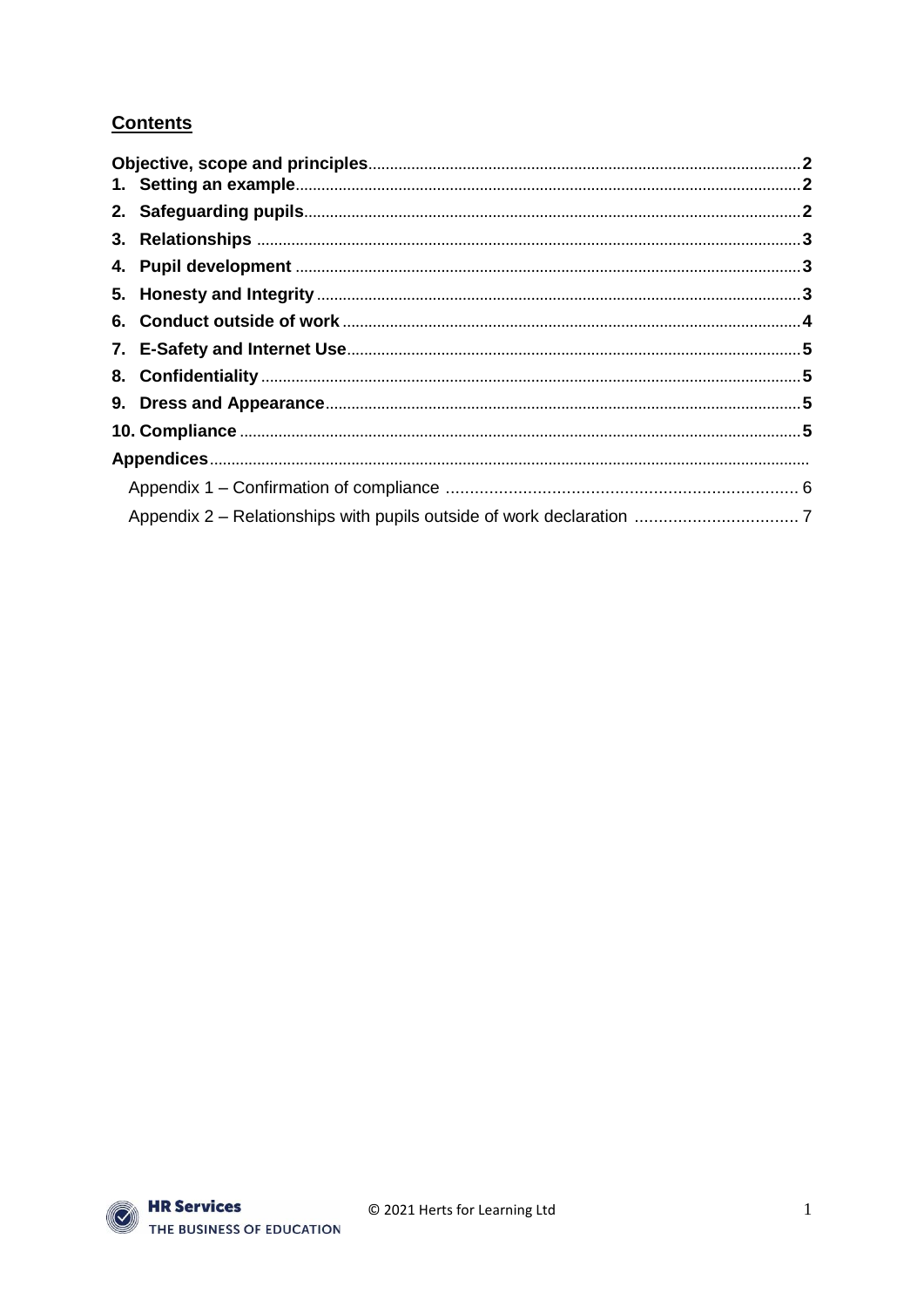# **Contents**

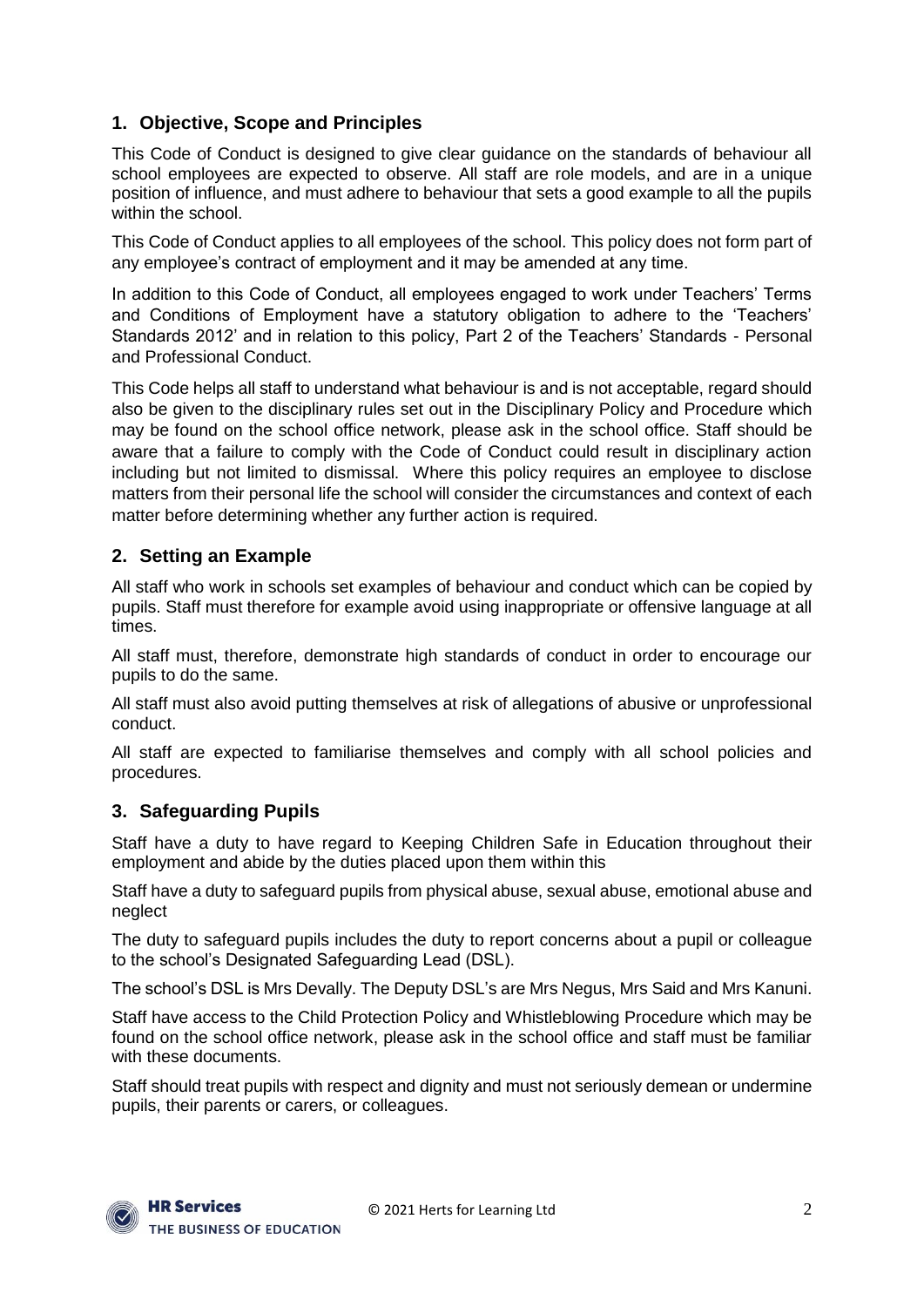# **1. Objective, Scope and Principles**

This Code of Conduct is designed to give clear guidance on the standards of behaviour all school employees are expected to observe. All staff are role models, and are in a unique position of influence, and must adhere to behaviour that sets a good example to all the pupils within the school.

This Code of Conduct applies to all employees of the school. This policy does not form part of any employee's contract of employment and it may be amended at any time.

In addition to this Code of Conduct, all employees engaged to work under Teachers' Terms and Conditions of Employment have a statutory obligation to adhere to the 'Teachers' Standards 2012' and in relation to this policy, Part 2 of the Teachers' Standards - Personal and Professional Conduct.

This Code helps all staff to understand what behaviour is and is not acceptable, regard should also be given to the disciplinary rules set out in the Disciplinary Policy and Procedure which may be found on the school office network, please ask in the school office. Staff should be aware that a failure to comply with the Code of Conduct could result in disciplinary action including but not limited to dismissal. Where this policy requires an employee to disclose matters from their personal life the school will consider the circumstances and context of each matter before determining whether any further action is required.

## **2. Setting an Example**

All staff who work in schools set examples of behaviour and conduct which can be copied by pupils. Staff must therefore for example avoid using inappropriate or offensive language at all times.

All staff must, therefore, demonstrate high standards of conduct in order to encourage our pupils to do the same.

All staff must also avoid putting themselves at risk of allegations of abusive or unprofessional conduct.

All staff are expected to familiarise themselves and comply with all school policies and procedures.

## **3. Safeguarding Pupils**

Staff have a duty to have regard to Keeping Children Safe in Education throughout their employment and abide by the duties placed upon them within this

Staff have a duty to safeguard pupils from physical abuse, sexual abuse, emotional abuse and neglect

The duty to safeguard pupils includes the duty to report concerns about a pupil or colleague to the school's Designated Safeguarding Lead (DSL).

The school's DSL is Mrs Devally. The Deputy DSL's are Mrs Negus, Mrs Said and Mrs Kanuni.

Staff have access to the Child Protection Policy and Whistleblowing Procedure which may be found on the school office network, please ask in the school office and staff must be familiar with these documents.

Staff should treat pupils with respect and dignity and must not seriously demean or undermine pupils, their parents or carers, or colleagues.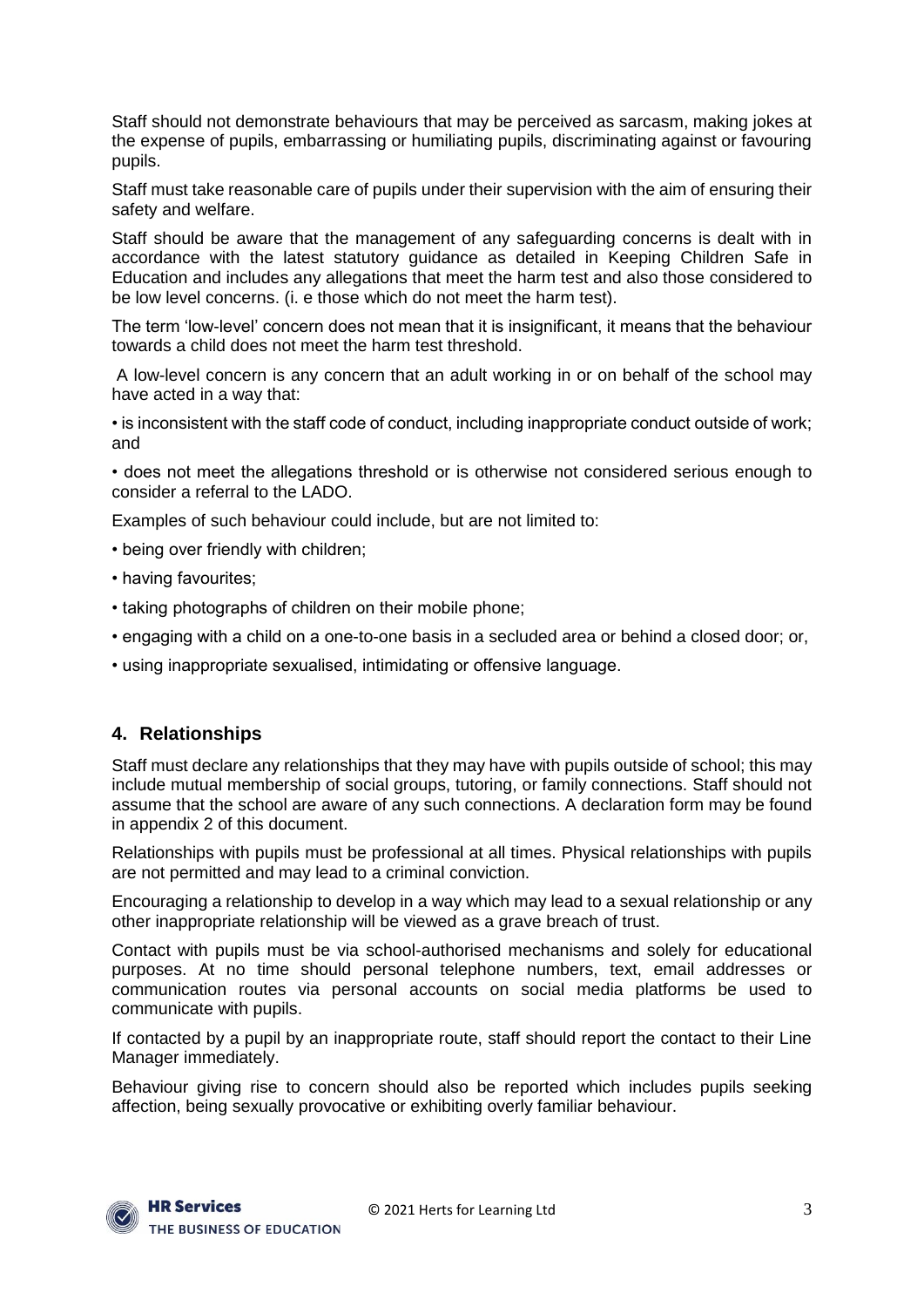Staff should not demonstrate behaviours that may be perceived as sarcasm, making jokes at the expense of pupils, embarrassing or humiliating pupils, discriminating against or favouring pupils.

Staff must take reasonable care of pupils under their supervision with the aim of ensuring their safety and welfare.

Staff should be aware that the management of any safeguarding concerns is dealt with in accordance with the latest statutory guidance as detailed in Keeping Children Safe in Education and includes any allegations that meet the harm test and also those considered to be low level concerns. (i. e those which do not meet the harm test).

The term 'low-level' concern does not mean that it is insignificant, it means that the behaviour towards a child does not meet the harm test threshold.

A low-level concern is any concern that an adult working in or on behalf of the school may have acted in a way that:

• is inconsistent with the staff code of conduct, including inappropriate conduct outside of work; and

• does not meet the allegations threshold or is otherwise not considered serious enough to consider a referral to the LADO.

Examples of such behaviour could include, but are not limited to:

- being over friendly with children;
- having favourites;
- taking photographs of children on their mobile phone;
- engaging with a child on a one-to-one basis in a secluded area or behind a closed door; or,
- using inappropriate sexualised, intimidating or offensive language.

#### **4. Relationships**

Staff must declare any relationships that they may have with pupils outside of school; this may include mutual membership of social groups, tutoring, or family connections. Staff should not assume that the school are aware of any such connections. A declaration form may be found in appendix 2 of this document.

Relationships with pupils must be professional at all times. Physical relationships with pupils are not permitted and may lead to a criminal conviction.

Encouraging a relationship to develop in a way which may lead to a sexual relationship or any other inappropriate relationship will be viewed as a grave breach of trust.

Contact with pupils must be via school-authorised mechanisms and solely for educational purposes. At no time should personal telephone numbers, text, email addresses or communication routes via personal accounts on social media platforms be used to communicate with pupils.

If contacted by a pupil by an inappropriate route, staff should report the contact to their Line Manager immediately.

Behaviour giving rise to concern should also be reported which includes pupils seeking affection, being sexually provocative or exhibiting overly familiar behaviour.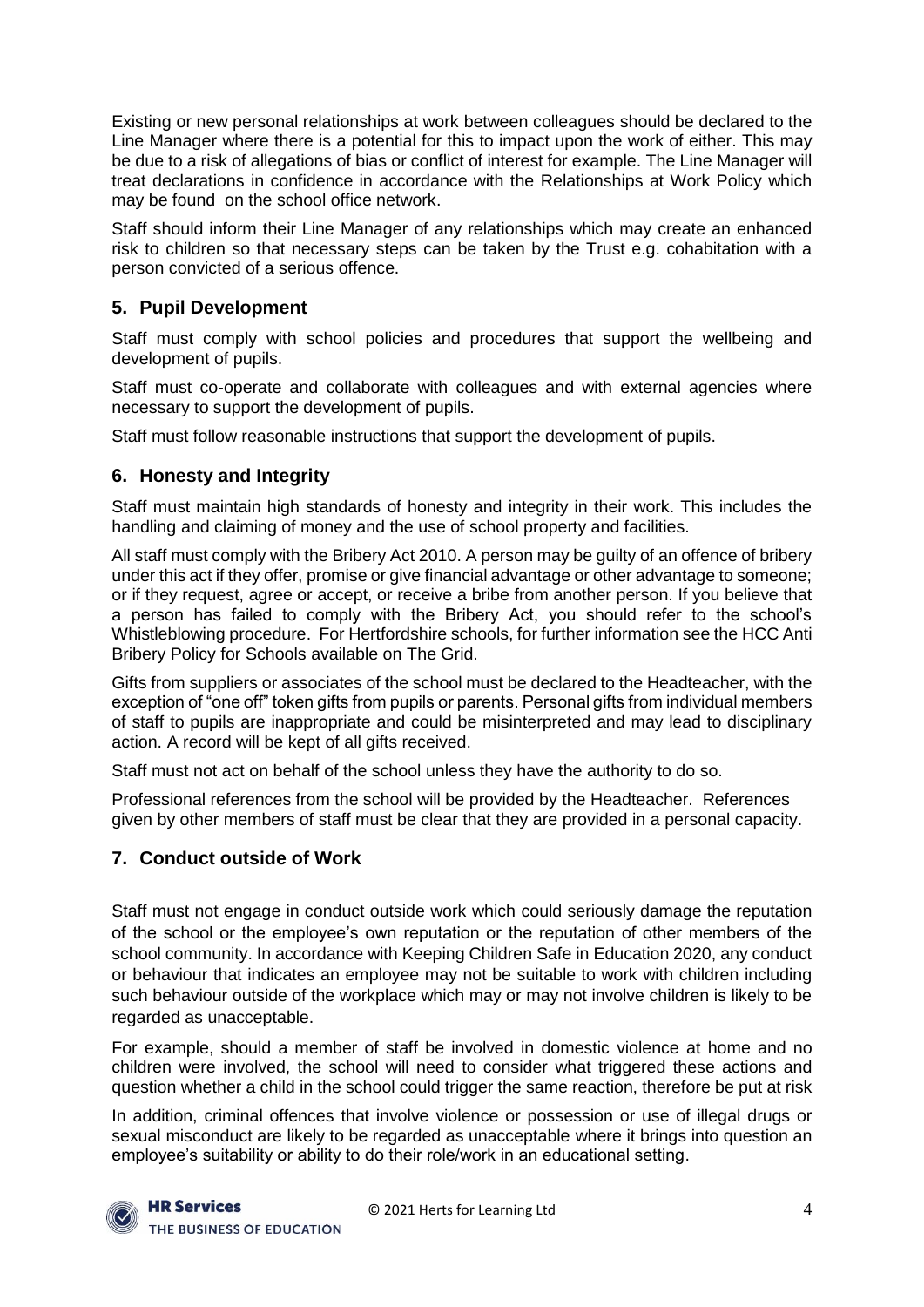Existing or new personal relationships at work between colleagues should be declared to the Line Manager where there is a potential for this to impact upon the work of either. This may be due to a risk of allegations of bias or conflict of interest for example. The Line Manager will treat declarations in confidence in accordance with the Relationships at Work Policy which may be found on the school office network.

Staff should inform their Line Manager of any relationships which may create an enhanced risk to children so that necessary steps can be taken by the Trust e.g. cohabitation with a person convicted of a serious offence.

## **5. Pupil Development**

Staff must comply with school policies and procedures that support the wellbeing and development of pupils.

Staff must co-operate and collaborate with colleagues and with external agencies where necessary to support the development of pupils.

Staff must follow reasonable instructions that support the development of pupils.

## **6. Honesty and Integrity**

Staff must maintain high standards of honesty and integrity in their work. This includes the handling and claiming of money and the use of school property and facilities.

All staff must comply with the Bribery Act 2010. A person may be guilty of an offence of bribery under this act if they offer, promise or give financial advantage or other advantage to someone; or if they request, agree or accept, or receive a bribe from another person. If you believe that a person has failed to comply with the Bribery Act, you should refer to the school's Whistleblowing procedure. For Hertfordshire schools, for further information see the HCC Anti Bribery Policy for Schools available on The Grid.

Gifts from suppliers or associates of the school must be declared to the Headteacher, with the exception of "one off" token gifts from pupils or parents. Personal gifts from individual members of staff to pupils are inappropriate and could be misinterpreted and may lead to disciplinary action. A record will be kept of all gifts received.

Staff must not act on behalf of the school unless they have the authority to do so.

Professional references from the school will be provided by the Headteacher. References given by other members of staff must be clear that they are provided in a personal capacity.

## **7. Conduct outside of Work**

Staff must not engage in conduct outside work which could seriously damage the reputation of the school or the employee's own reputation or the reputation of other members of the school community. In accordance with Keeping Children Safe in Education 2020, any conduct or behaviour that indicates an employee may not be suitable to work with children including such behaviour outside of the workplace which may or may not involve children is likely to be regarded as unacceptable.

For example, should a member of staff be involved in domestic violence at home and no children were involved, the school will need to consider what triggered these actions and question whether a child in the school could trigger the same reaction, therefore be put at risk

In addition, criminal offences that involve violence or possession or use of illegal drugs or sexual misconduct are likely to be regarded as unacceptable where it brings into question an employee's suitability or ability to do their role/work in an educational setting.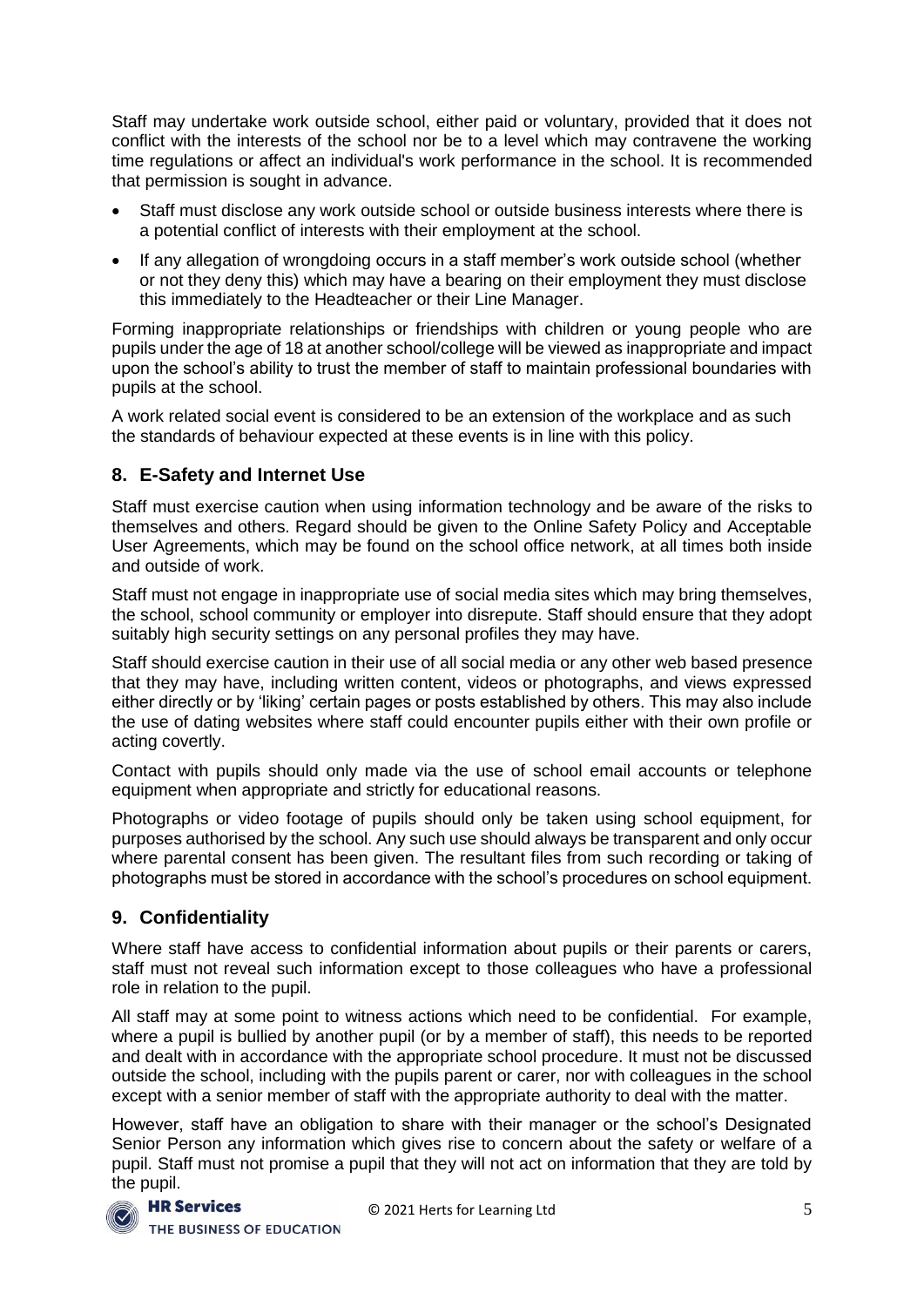Staff may undertake work outside school, either paid or voluntary, provided that it does not conflict with the interests of the school nor be to a level which may contravene the working time regulations or affect an individual's work performance in the school. It is recommended that permission is sought in advance.

- Staff must disclose any work outside school or outside business interests where there is a potential conflict of interests with their employment at the school.
- If any allegation of wrongdoing occurs in a staff member's work outside school (whether or not they deny this) which may have a bearing on their employment they must disclose this immediately to the Headteacher or their Line Manager.

Forming inappropriate relationships or friendships with children or young people who are pupils under the age of 18 at another school/college will be viewed as inappropriate and impact upon the school's ability to trust the member of staff to maintain professional boundaries with pupils at the school.

A work related social event is considered to be an extension of the workplace and as such the standards of behaviour expected at these events is in line with this policy.

# **8. E-Safety and Internet Use**

Staff must exercise caution when using information technology and be aware of the risks to themselves and others. Regard should be given to the Online Safety Policy and Acceptable User Agreements, which may be found on the school office network, at all times both inside and outside of work.

Staff must not engage in inappropriate use of social media sites which may bring themselves, the school, school community or employer into disrepute. Staff should ensure that they adopt suitably high security settings on any personal profiles they may have.

Staff should exercise caution in their use of all social media or any other web based presence that they may have, including written content, videos or photographs, and views expressed either directly or by 'liking' certain pages or posts established by others. This may also include the use of dating websites where staff could encounter pupils either with their own profile or acting covertly.

Contact with pupils should only made via the use of school email accounts or telephone equipment when appropriate and strictly for educational reasons.

Photographs or video footage of pupils should only be taken using school equipment, for purposes authorised by the school. Any such use should always be transparent and only occur where parental consent has been given. The resultant files from such recording or taking of photographs must be stored in accordance with the school's procedures on school equipment.

## **9. Confidentiality**

Where staff have access to confidential information about pupils or their parents or carers, staff must not reveal such information except to those colleagues who have a professional role in relation to the pupil.

All staff may at some point to witness actions which need to be confidential. For example, where a pupil is bullied by another pupil (or by a member of staff), this needs to be reported and dealt with in accordance with the appropriate school procedure. It must not be discussed outside the school, including with the pupils parent or carer, nor with colleagues in the school except with a senior member of staff with the appropriate authority to deal with the matter.

However, staff have an obligation to share with their manager or the school's Designated Senior Person any information which gives rise to concern about the safety or welfare of a pupil. Staff must not promise a pupil that they will not act on information that they are told by the pupil.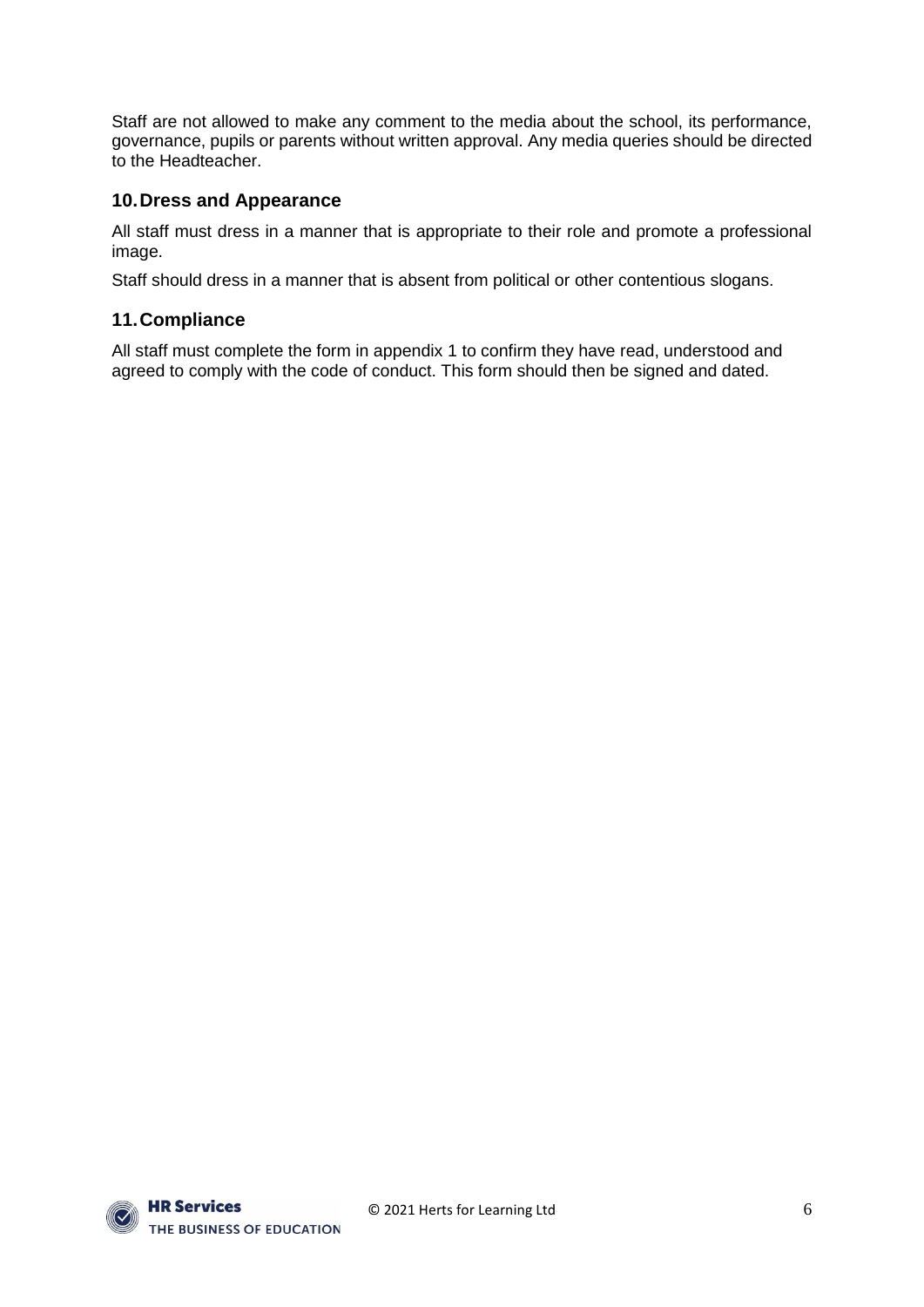Staff are not allowed to make any comment to the media about the school, its performance, governance, pupils or parents without written approval. Any media queries should be directed to the Headteacher.

#### **10.Dress and Appearance**

All staff must dress in a manner that is appropriate to their role and promote a professional image.

Staff should dress in a manner that is absent from political or other contentious slogans.

#### **11.Compliance**

All staff must complete the form in appendix 1 to confirm they have read, understood and agreed to comply with the code of conduct. This form should then be signed and dated.

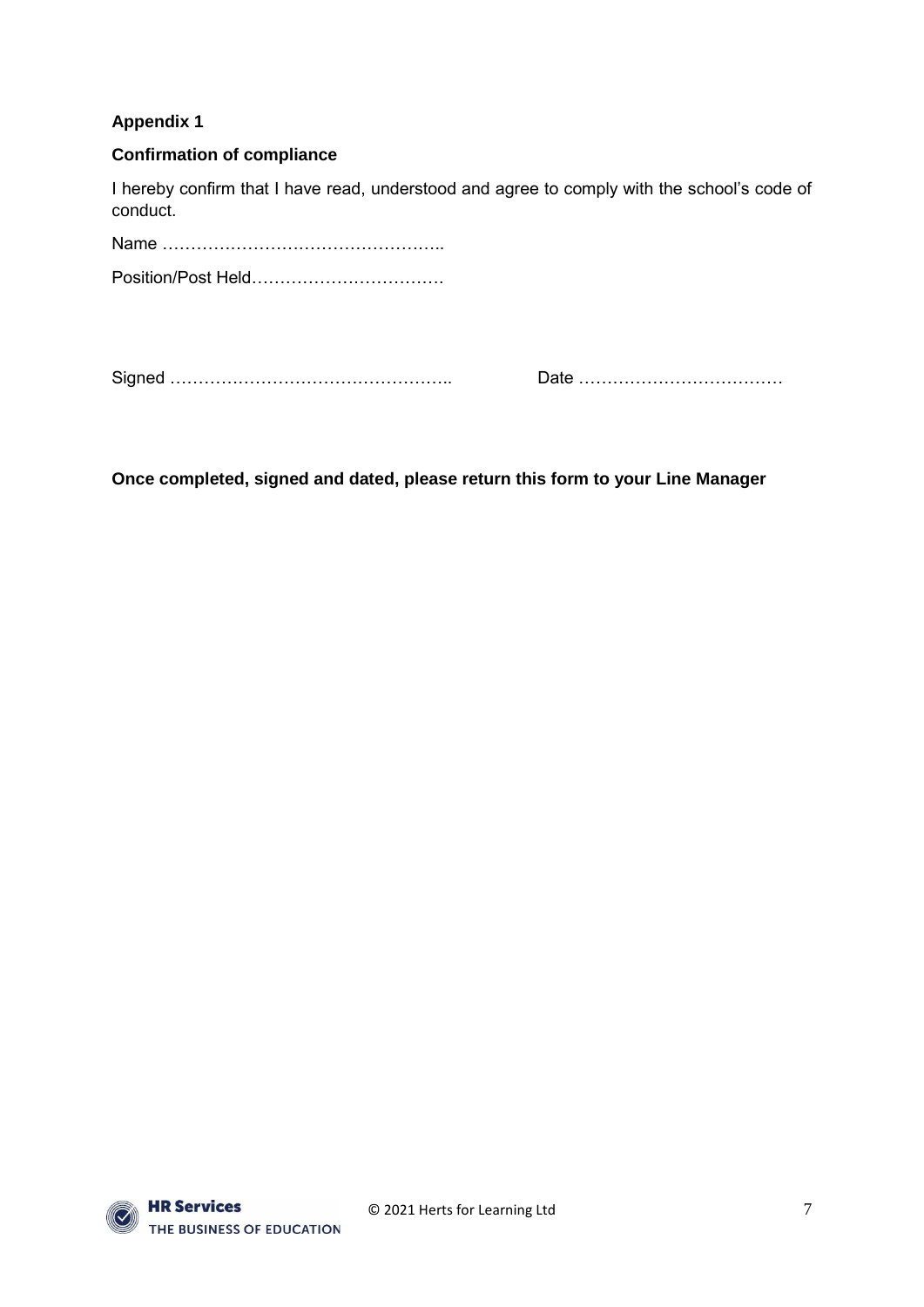## **Appendix 1**

#### **Confirmation of compliance**

I hereby confirm that I have read, understood and agree to comply with the school's code of conduct.

Name ………………………………………….. Position/Post Held…………………………….

Signed ………………………………………….. Date ………………………………

**Once completed, signed and dated, please return this form to your Line Manager**